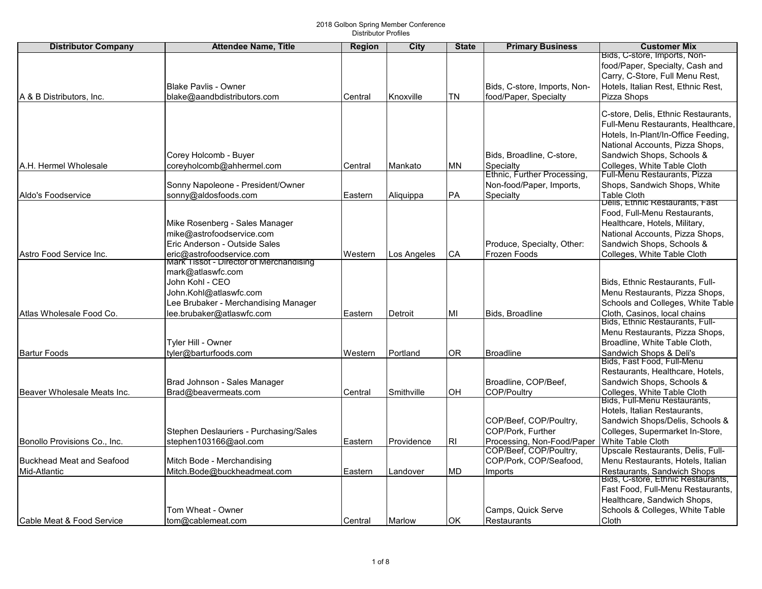| <b>Distributor Company</b>       | <b>Attendee Name, Title</b>             | Region  | City        | <b>State</b>   | <b>Primary Business</b>      | <b>Customer Mix</b>                                          |
|----------------------------------|-----------------------------------------|---------|-------------|----------------|------------------------------|--------------------------------------------------------------|
|                                  |                                         |         |             |                |                              | Bids, C-store, Imports, Non-                                 |
|                                  |                                         |         |             |                |                              | food/Paper, Specialty, Cash and                              |
|                                  |                                         |         |             |                |                              | Carry, C-Store, Full Menu Rest,                              |
|                                  | <b>Blake Pavlis - Owner</b>             |         |             |                | Bids, C-store, Imports, Non- | Hotels, Italian Rest, Ethnic Rest,                           |
| A & B Distributors, Inc.         | blake@aandbdistributors.com             | Central | Knoxville   | <b>TN</b>      | food/Paper, Specialty        | Pizza Shops                                                  |
|                                  |                                         |         |             |                |                              | C-store, Delis, Ethnic Restaurants,                          |
|                                  |                                         |         |             |                |                              | Full-Menu Restaurants, Healthcare,                           |
|                                  |                                         |         |             |                |                              | Hotels, In-Plant/In-Office Feeding,                          |
|                                  |                                         |         |             |                |                              | National Accounts, Pizza Shops,                              |
|                                  | Corey Holcomb - Buyer                   |         |             |                | Bids, Broadline, C-store,    | Sandwich Shops, Schools &                                    |
| IA.H. Hermel Wholesale           | coreyholcomb@ahhermel.com               | Central | Mankato     | ΜN             | Specialty                    | Colleges, White Table Cloth                                  |
|                                  |                                         |         |             |                | Ethnic, Further Processing   | Full-Menu Restaurants, Pizza                                 |
|                                  | Sonny Napoleone - President/Owner       |         |             |                | Non-food/Paper, Imports,     | Shops, Sandwich Shops, White                                 |
| Aldo's Foodservice               | sonny@aldosfoods.com                    | Eastern | Aliquippa   | <b>PA</b>      | Specialty                    | <b>Table Cloth</b>                                           |
|                                  |                                         |         |             |                |                              | Delis, Ethnic Restaurants, Fast                              |
|                                  |                                         |         |             |                |                              | Food, Full-Menu Restaurants,                                 |
|                                  | Mike Rosenberg - Sales Manager          |         |             |                |                              | Healthcare, Hotels, Military,                                |
|                                  | mike@astrofoodservice.com               |         |             |                |                              | National Accounts, Pizza Shops,                              |
|                                  | Eric Anderson - Outside Sales           |         |             |                | Produce, Specialty, Other:   | Sandwich Shops, Schools &                                    |
| Astro Food Service Inc.          | eric@astrofoodservice.com               | Western | Los Angeles | CA             | Frozen Foods                 | Colleges, White Table Cloth                                  |
|                                  | Mark Tissot - Director of Merchandising |         |             |                |                              |                                                              |
|                                  | mark@atlaswfc.com                       |         |             |                |                              |                                                              |
|                                  | John Kohl - CEO                         |         |             |                |                              | Bids. Ethnic Restaurants. Full-                              |
|                                  | John.Kohl@atlaswfc.com                  |         |             |                |                              | Menu Restaurants, Pizza Shops,                               |
|                                  | Lee Brubaker - Merchandising Manager    |         |             |                |                              | Schools and Colleges, White Table                            |
| Atlas Wholesale Food Co.         | lee.brubaker@atlaswfc.com               | Eastern | Detroit     | MI             | Bids, Broadline              | Cloth, Casinos, local chains                                 |
|                                  |                                         |         |             |                |                              | Bids, Ethnic Restaurants, Full-                              |
|                                  |                                         |         |             |                |                              | Menu Restaurants, Pizza Shops,                               |
|                                  | Tyler Hill - Owner                      |         |             |                |                              | Broadline, White Table Cloth,                                |
| <b>Bartur Foods</b>              | tyler@barturfoods.com                   | Western | Portland    | 0 <sub>R</sub> | <b>Broadline</b>             | Sandwich Shops & Deli's<br>Bids, Fast Food, Full-Menu        |
|                                  |                                         |         |             |                |                              | Restaurants, Healthcare, Hotels,                             |
|                                  | Brad Johnson - Sales Manager            |         |             |                | Broadline, COP/Beef,         | Sandwich Shops, Schools &                                    |
| Beaver Wholesale Meats Inc.      | Brad@beavermeats.com                    | Central | Smithville  | <b>OH</b>      | <b>COP/Poultry</b>           |                                                              |
|                                  |                                         |         |             |                |                              | Colleges, White Table Cloth<br> Bids, Full-Menu Restaurants, |
|                                  |                                         |         |             |                |                              | Hotels, Italian Restaurants,                                 |
|                                  |                                         |         |             |                | COP/Beef, COP/Poultry,       | Sandwich Shops/Delis, Schools &                              |
|                                  | Stephen Deslauriers - Purchasing/Sales  |         |             |                | COP/Pork, Further            | Colleges, Supermarket In-Store,                              |
| Bonollo Provisions Co., Inc.     | stephen103166@aol.com                   | Eastern | Providence  | R <sub>l</sub> | Processing, Non-Food/Paper   | White Table Cloth                                            |
|                                  |                                         |         |             |                | COP/Beef, COP/Poultry,       | Upscale Restaurants, Delis, Full-                            |
| <b>Buckhead Meat and Seafood</b> | Mitch Bode - Merchandising              |         |             |                | COP/Pork, COP/Seafood,       | Menu Restaurants, Hotels, Italian                            |
| Mid-Atlantic                     | Mitch.Bode@buckheadmeat.com             | Eastern | Landover    | MD             | Imports                      | Restaurants, Sandwich Shops                                  |
|                                  |                                         |         |             |                |                              | Bids, C-store, Ethnic Restaurants,                           |
|                                  |                                         |         |             |                |                              | Fast Food, Full-Menu Restaurants,                            |
|                                  |                                         |         |             |                |                              | Healthcare, Sandwich Shops,                                  |
|                                  | Tom Wheat - Owner                       |         |             |                | Camps, Quick Serve           | Schools & Colleges, White Table                              |
| lCable Meat & Food Service       | tom@cablemeat.com                       | Central | Marlow      | <b>OK</b>      | Restaurants                  | <b>Cloth</b>                                                 |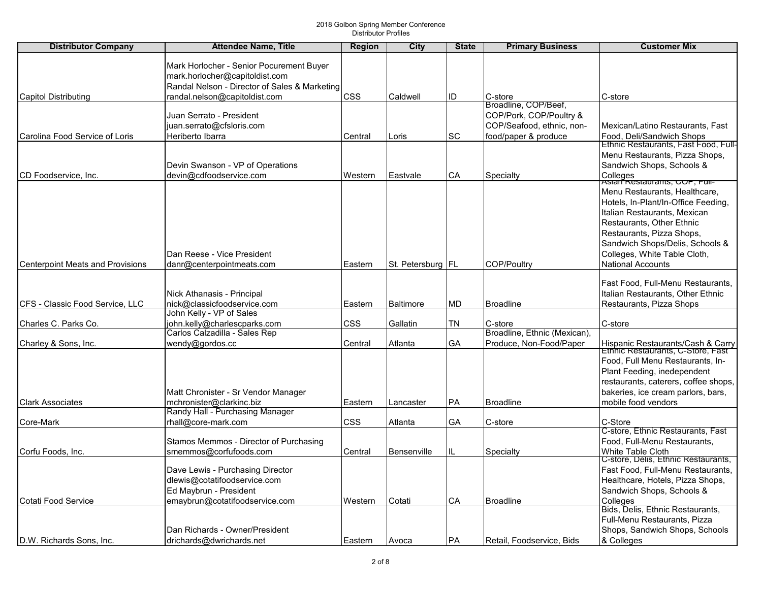| <b>Distributor Company</b>              | <b>Attendee Name, Title</b>                                   | <b>Region</b> | <b>City</b>         | <b>State</b> | <b>Primary Business</b>                         | <b>Customer Mix</b>                                                    |
|-----------------------------------------|---------------------------------------------------------------|---------------|---------------------|--------------|-------------------------------------------------|------------------------------------------------------------------------|
|                                         |                                                               |               |                     |              |                                                 |                                                                        |
|                                         | Mark Horlocher - Senior Pocurement Buyer                      |               |                     |              |                                                 |                                                                        |
|                                         | mark.horlocher@capitoldist.com                                |               |                     |              |                                                 |                                                                        |
|                                         | Randal Nelson - Director of Sales & Marketing                 |               |                     |              |                                                 |                                                                        |
| <b>Capitol Distributing</b>             | randal.nelson@capitoldist.com                                 | <b>CSS</b>    | Caldwell            | ID           | C-store                                         | C-store                                                                |
|                                         |                                                               |               |                     |              | Broadline, COP/Beef,<br>COP/Pork, COP/Poultry & |                                                                        |
|                                         | Juan Serrato - President<br>juan.serrato@cfsloris.com         |               |                     |              | COP/Seafood, ethnic, non-                       | Mexican/Latino Restaurants, Fast                                       |
| Carolina Food Service of Loris          | Heriberto Ibarra                                              | Central       | Loris               | <b>SC</b>    | food/paper & produce                            | Food, Deli/Sandwich Shops                                              |
|                                         |                                                               |               |                     |              |                                                 | Ethnic Restaurants, Fast Food, Full-                                   |
|                                         |                                                               |               |                     |              |                                                 | Menu Restaurants, Pizza Shops,                                         |
|                                         | Devin Swanson - VP of Operations                              |               |                     |              |                                                 | Sandwich Shops, Schools &                                              |
| <b>ICD Foodservice. Inc.</b>            | devin@cdfoodservice.com                                       | Western       | Eastvale            | CA           | Specialty                                       |                                                                        |
|                                         |                                                               |               |                     |              |                                                 | ∣Colleges<br><sub>I</sub> Asiari <del>Restaurants, COP, Puil-</del>    |
|                                         |                                                               |               |                     |              |                                                 | Menu Restaurants, Healthcare,                                          |
|                                         |                                                               |               |                     |              |                                                 | Hotels, In-Plant/In-Office Feeding,                                    |
|                                         |                                                               |               |                     |              |                                                 | Italian Restaurants, Mexican                                           |
|                                         |                                                               |               |                     |              |                                                 | Restaurants, Other Ethnic                                              |
|                                         |                                                               |               |                     |              |                                                 | Restaurants, Pizza Shops,                                              |
|                                         |                                                               |               |                     |              |                                                 | Sandwich Shops/Delis, Schools &                                        |
|                                         | Dan Reese - Vice President                                    |               |                     |              |                                                 | Colleges, White Table Cloth,                                           |
| <b>Centerpoint Meats and Provisions</b> | danr@centerpointmeats.com                                     | Eastern       | St. Petersburg   FL |              | COP/Poultry                                     | <b>National Accounts</b>                                               |
|                                         |                                                               |               |                     |              |                                                 |                                                                        |
|                                         |                                                               |               |                     |              |                                                 | Fast Food, Full-Menu Restaurants,                                      |
|                                         | Nick Athanasis - Principal                                    |               |                     |              |                                                 | Italian Restaurants, Other Ethnic                                      |
| CFS - Classic Food Service, LLC         | nick@classicfoodservice.com                                   | Eastern       | Baltimore           | MD           | Broadline                                       | Restaurants, Pizza Shops                                               |
|                                         | John Kelly - VP of Sales                                      |               |                     |              |                                                 |                                                                        |
| Charles C. Parks Co.                    | john.kelly@charlescparks.com<br>Carlos Calzadilla - Sales Rep | <b>CSS</b>    | Gallatin            | <b>TN</b>    | C-store<br>Broadline, Ethnic (Mexican),         | C-store                                                                |
| Charley & Sons, Inc.                    | wendy@gordos.cc                                               | Central       | Atlanta             | GA           | Produce, Non-Food/Paper                         |                                                                        |
|                                         |                                                               |               |                     |              |                                                 | Hispanic Restaurants/Cash & Carry<br>Ethnic Restaurants, C-Store, Fast |
|                                         |                                                               |               |                     |              |                                                 | Food, Full Menu Restaurants, In-                                       |
|                                         |                                                               |               |                     |              |                                                 | Plant Feeding, inedependent                                            |
|                                         |                                                               |               |                     |              |                                                 | restaurants, caterers, coffee shops,                                   |
|                                         | Matt Chronister - Sr Vendor Manager                           |               |                     |              |                                                 | bakeries, ice cream parlors, bars,                                     |
| <b>Clark Associates</b>                 | mchronister@clarkinc.biz                                      | Eastern       | Lancaster           | PA           | Broadline                                       | mobile food vendors                                                    |
|                                         | Randy Hall - Purchasing Manager                               |               |                     |              |                                                 |                                                                        |
| Core-Mark                               | rhall@core-mark.com                                           | <b>CSS</b>    | Atlanta             | GA           | C-store                                         | C-Store                                                                |
|                                         |                                                               |               |                     |              |                                                 | C-store, Ethnic Restaurants, Fast                                      |
|                                         | Stamos Memmos - Director of Purchasing                        |               |                     |              |                                                 | Food, Full-Menu Restaurants,                                           |
| Corfu Foods, Inc.                       | smemmos@corfufoods.com                                        | Central       | <b>Bensenville</b>  | IL.          | Specialty                                       | White Table Cloth                                                      |
|                                         |                                                               |               |                     |              |                                                 | C-store, Delis, Ethnic Restaurants,                                    |
|                                         | Dave Lewis - Purchasing Director                              |               |                     |              |                                                 | Fast Food, Full-Menu Restaurants,                                      |
|                                         | dlewis@cotatifoodservice.com                                  |               |                     |              |                                                 | Healthcare, Hotels, Pizza Shops,                                       |
|                                         | Ed Maybrun - President                                        |               |                     |              |                                                 | Sandwich Shops, Schools &                                              |
| Cotati Food Service                     | emaybrun@cotatifoodservice.com                                | Western       | Cotati              | CA           | <b>Broadline</b>                                | Colleges<br>Bids, Delis, Ethnic Restaurants,                           |
|                                         |                                                               |               |                     |              |                                                 | Full-Menu Restaurants, Pizza                                           |
|                                         | Dan Richards - Owner/President                                |               |                     |              |                                                 | Shops, Sandwich Shops, Schools                                         |
|                                         |                                                               |               |                     |              |                                                 |                                                                        |
| D.W. Richards Sons, Inc.                | drichards@dwrichards.net                                      | Eastern       | Avoca               | PA           | Retail, Foodservice, Bids                       | & Colleges                                                             |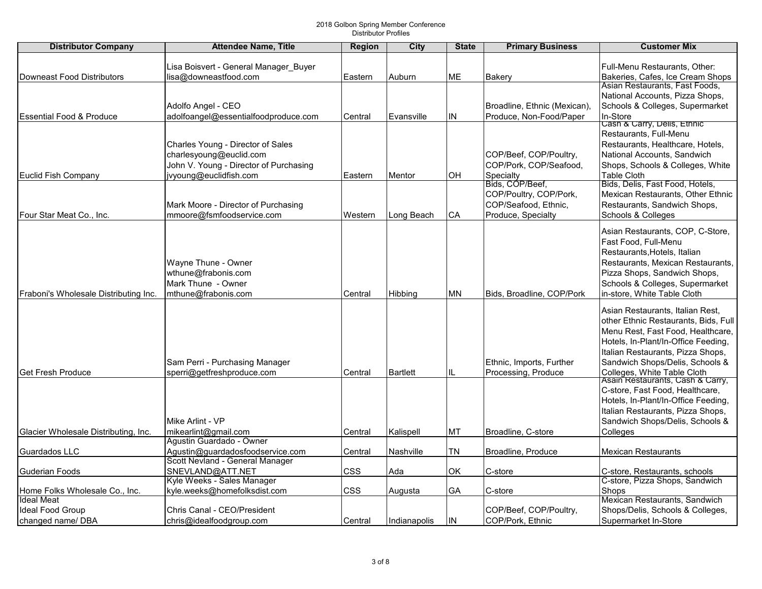| <b>Distributor Company</b>            | <b>Attendee Name, Title</b>            | <b>Region</b> | <b>City</b>      | <b>State</b> | <b>Primary Business</b>      | <b>Customer Mix</b>                                             |
|---------------------------------------|----------------------------------------|---------------|------------------|--------------|------------------------------|-----------------------------------------------------------------|
|                                       |                                        |               |                  |              |                              |                                                                 |
|                                       | Lisa Boisvert - General Manager Buyer  |               |                  |              |                              | Full-Menu Restaurants, Other:                                   |
| <b>Downeast Food Distributors</b>     | lisa@downeastfood.com                  | Eastern       | Auburn           | <b>ME</b>    | Bakery                       | Bakeries, Cafes, Ice Cream Shops                                |
|                                       |                                        |               |                  |              |                              | Asian Restaurants, Fast Foods,                                  |
|                                       |                                        |               |                  |              |                              | National Accounts, Pizza Shops,                                 |
|                                       | Adolfo Angel - CEO                     |               |                  |              | Broadline, Ethnic (Mexican), | Schools & Colleges, Supermarket                                 |
| <b>Essential Food &amp; Produce</b>   | adolfoangel@essentialfoodproduce.com   | Central       | Evansville       | IN           | Produce, Non-Food/Paper      | In-Store                                                        |
|                                       |                                        |               |                  |              |                              | Cash & Carry, Dells, Ethnic                                     |
|                                       |                                        |               |                  |              |                              | Restaurants, Full-Menu                                          |
|                                       | Charles Young - Director of Sales      |               |                  |              |                              | Restaurants, Healthcare, Hotels,                                |
|                                       | charlesyoung@euclid.com                |               |                  |              | COP/Beef, COP/Poultry,       | National Accounts, Sandwich                                     |
|                                       | John V. Young - Director of Purchasing |               |                  |              | COP/Pork, COP/Seafood,       | Shops, Schools & Colleges, White                                |
| <b>Euclid Fish Company</b>            | jvyoung@euclidfish.com                 | Eastern       | Mentor           | ΟH           | Specialty                    | <b>Table Cloth</b>                                              |
|                                       |                                        |               |                  |              | Bids, COP/Beef,              | Bids, Delis, Fast Food, Hotels,                                 |
|                                       |                                        |               |                  |              | COP/Poultry, COP/Pork,       | Mexican Restaurants, Other Ethnic                               |
|                                       | Mark Moore - Director of Purchasing    |               |                  |              | COP/Seafood, Ethnic,         | Restaurants, Sandwich Shops,                                    |
| Four Star Meat Co., Inc.              | mmoore@fsmfoodservice.com              | Western       | Long Beach       | CA           | Produce, Specialty           | Schools & Colleges                                              |
|                                       |                                        |               |                  |              |                              | Asian Restaurants, COP, C-Store,                                |
|                                       |                                        |               |                  |              |                              | Fast Food, Full-Menu                                            |
|                                       |                                        |               |                  |              |                              | Restaurants, Hotels, Italian                                    |
|                                       | Wayne Thune - Owner                    |               |                  |              |                              | Restaurants, Mexican Restaurants,                               |
|                                       | wthune@frabonis.com                    |               |                  |              |                              | Pizza Shops, Sandwich Shops,                                    |
|                                       | Mark Thune - Owner                     |               |                  |              |                              | Schools & Colleges, Supermarket                                 |
| Fraboni's Wholesale Distributing Inc. | mthune@frabonis.com                    | Central       |                  | <b>MN</b>    | Bids, Broadline, COP/Pork    | in-store, White Table Cloth                                     |
|                                       |                                        |               | Hibbing          |              |                              |                                                                 |
|                                       |                                        |               |                  |              |                              | Asian Restaurants, Italian Rest,                                |
|                                       |                                        |               |                  |              |                              | other Ethnic Restaurants, Bids, Full                            |
|                                       |                                        |               |                  |              |                              | Menu Rest, Fast Food, Healthcare,                               |
|                                       |                                        |               |                  |              |                              | Hotels, In-Plant/In-Office Feeding,                             |
|                                       |                                        |               |                  |              |                              | Italian Restaurants, Pizza Shops,                               |
|                                       | Sam Perri - Purchasing Manager         |               |                  |              | Ethnic, Imports, Further     | Sandwich Shops/Delis, Schools &                                 |
| <b>Get Fresh Produce</b>              | sperri@getfreshproduce.com             | Central       | <b>Bartlett</b>  |              | Processing, Produce          |                                                                 |
|                                       |                                        |               |                  |              |                              | Colleges, White Table Cloth<br>Asain Restaurants, Cash & Carry, |
|                                       |                                        |               |                  |              |                              | C-store, Fast Food, Healthcare,                                 |
|                                       |                                        |               |                  |              |                              | Hotels, In-Plant/In-Office Feeding,                             |
|                                       |                                        |               |                  |              |                              | Italian Restaurants, Pizza Shops,                               |
|                                       | Mike Arlint - VP                       |               |                  |              |                              | Sandwich Shops/Delis, Schools &                                 |
| Glacier Wholesale Distributing, Inc.  | mikearlint@gmail.com                   | Central       | Kalispell        | MT           | Broadline, C-store           | Colleges                                                        |
|                                       | Agustin Guardado - Owner               |               |                  |              |                              |                                                                 |
| Guardados LLC                         | Agustin@guardadosfoodservice.com       | Central       | <b>Nashville</b> | TN           | Broadline, Produce           | <b>Mexican Restaurants</b>                                      |
|                                       | Scott Nevland - General Manager        |               |                  |              |                              |                                                                 |
| Guderian Foods                        | SNEVLAND@ATT.NET                       | <b>CSS</b>    | Ada              | OK           | C-store                      | C-store, Restaurants, schools                                   |
|                                       | Kyle Weeks - Sales Manager             |               |                  |              |                              | C-store, Pizza Shops, Sandwich                                  |
| Home Folks Wholesale Co., Inc.        | kyle.weeks@homefolksdist.com           | <b>CSS</b>    | Augusta          | GA           | C-store                      | Shops                                                           |
| <b>Ideal Meat</b>                     |                                        |               |                  |              |                              | Mexican Restaurants, Sandwich                                   |
| Ideal Food Group                      | Chris Canal - CEO/President            |               |                  |              | COP/Beef, COP/Poultry,       | Shops/Delis, Schools & Colleges,                                |
| changed name/DBA                      | chris@idealfoodgroup.com               | Central       | Indianapolis     | IN           | COP/Pork, Ethnic             | Supermarket In-Store                                            |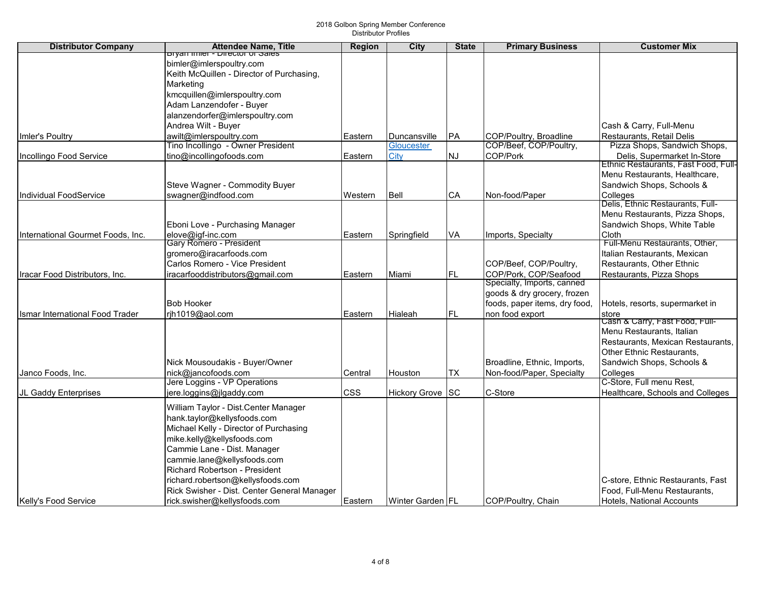| <b>Distributor Company</b>             | <b>Attendee Name, Title</b>                                 | <b>Region</b> | City             | <b>State</b> | <b>Primary Business</b>                             | <b>Customer Mix</b>                  |
|----------------------------------------|-------------------------------------------------------------|---------------|------------------|--------------|-----------------------------------------------------|--------------------------------------|
|                                        | pryan miler - Director or Sales<br>bimler@imlerspoultry.com |               |                  |              |                                                     |                                      |
|                                        | Keith McQuillen - Director of Purchasing,                   |               |                  |              |                                                     |                                      |
|                                        | Marketing                                                   |               |                  |              |                                                     |                                      |
|                                        | kmcquillen@imlerspoultry.com                                |               |                  |              |                                                     |                                      |
|                                        | Adam Lanzendofer - Buyer                                    |               |                  |              |                                                     |                                      |
|                                        | alanzendorfer@imlerspoultry.com                             |               |                  |              |                                                     |                                      |
|                                        | Andrea Wilt - Buyer                                         |               |                  |              |                                                     | Cash & Carry, Full-Menu              |
| Imler's Poultry                        | awilt@imlerspoultry.com                                     | Eastern       | Duncansville     | IPA.         | COP/Poultry, Broadline                              | Restaurants, Retail Delis            |
|                                        | Tino Incollingo - Owner President                           |               | Gloucester       |              | COP/Beef, COP/Poultry,                              | Pizza Shops, Sandwich Shops,         |
| Incollingo Food Service                | tino@incollingofoods.com                                    | Eastern       | City             | <b>NJ</b>    | COP/Pork                                            | Delis, Supermarket In-Store          |
|                                        |                                                             |               |                  |              |                                                     | Ethnic Restaurants, Fast Food, Full- |
|                                        |                                                             |               |                  |              |                                                     | Menu Restaurants, Healthcare,        |
|                                        | Steve Wagner - Commodity Buyer                              |               |                  |              |                                                     | Sandwich Shops, Schools &            |
| Individual FoodService                 | swagner@indfood.com                                         | Western       | Bell             | CA           | Non-food/Paper                                      | Colleges                             |
|                                        |                                                             |               |                  |              |                                                     | Delis, Ethnic Restaurants, Full-     |
|                                        |                                                             |               |                  |              |                                                     | Menu Restaurants, Pizza Shops,       |
|                                        | Eboni Love - Purchasing Manager                             |               |                  |              |                                                     | Sandwich Shops, White Table          |
| International Gourmet Foods, Inc.      | elove@igf-inc.com                                           | Eastern       | Springfield      | VA           | Imports, Specialty                                  | Cloth                                |
|                                        | <b>Gary Romero - President</b>                              |               |                  |              |                                                     | Full-Menu Restaurants, Other,        |
|                                        | gromero@iracarfoods.com<br>Carlos Romero - Vice President   |               |                  |              |                                                     | Italian Restaurants, Mexican         |
|                                        |                                                             |               |                  |              | COP/Beef, COP/Poultry,                              | Restaurants, Other Ethnic            |
| Iracar Food Distributors, Inc.         | iracarfooddistributors@gmail.com                            | Eastern       | Miami            | FL.          | COP/Pork, COP/Seafood<br>Specialty, Imports, canned | Restaurants, Pizza Shops             |
|                                        |                                                             |               |                  |              | goods & dry grocery, frozen                         |                                      |
|                                        | <b>Bob Hooker</b>                                           |               |                  |              | foods, paper items, dry food,                       | Hotels, resorts, supermarket in      |
| <b>Ismar International Food Trader</b> | rjh1019@aol.com                                             | Eastern       | Hialeah          | FL           | non food export                                     | store                                |
|                                        |                                                             |               |                  |              |                                                     | Cash & Carry, Fast Food, Full-       |
|                                        |                                                             |               |                  |              |                                                     | Menu Restaurants, Italian            |
|                                        |                                                             |               |                  |              |                                                     | Restaurants, Mexican Restaurants,    |
|                                        |                                                             |               |                  |              |                                                     | Other Ethnic Restaurants,            |
|                                        | Nick Mousoudakis - Buyer/Owner                              |               |                  |              | Broadline, Ethnic, Imports,                         | Sandwich Shops, Schools &            |
| Janco Foods, Inc.                      | nick@jancofoods.com                                         | Central       | Houston          | TX           | Non-food/Paper, Specialty                           | Colleges                             |
|                                        | Jere Loggins - VP Operations                                |               |                  |              |                                                     | C-Store, Full menu Rest,             |
| JL Gaddy Enterprises                   | jere.loggins@jlgaddy.com                                    | <b>CSS</b>    | Hickory Grove SC |              | C-Store                                             | Healthcare, Schools and Colleges     |
|                                        | William Taylor - Dist.Center Manager                        |               |                  |              |                                                     |                                      |
|                                        | hank.taylor@kellysfoods.com                                 |               |                  |              |                                                     |                                      |
|                                        | Michael Kelly - Director of Purchasing                      |               |                  |              |                                                     |                                      |
|                                        | mike.kelly@kellysfoods.com                                  |               |                  |              |                                                     |                                      |
|                                        | Cammie Lane - Dist. Manager                                 |               |                  |              |                                                     |                                      |
|                                        | cammie.lane@kellysfoods.com                                 |               |                  |              |                                                     |                                      |
|                                        | Richard Robertson - President                               |               |                  |              |                                                     |                                      |
|                                        | richard.robertson@kellysfoods.com                           |               |                  |              |                                                     | C-store, Ethnic Restaurants, Fast    |
|                                        | Rick Swisher - Dist. Center General Manager                 |               |                  |              |                                                     | Food, Full-Menu Restaurants,         |
| Kelly's Food Service                   | rick.swisher@kellysfoods.com                                | Eastern       | Winter Garden FL |              | COP/Poultry, Chain                                  | Hotels, National Accounts            |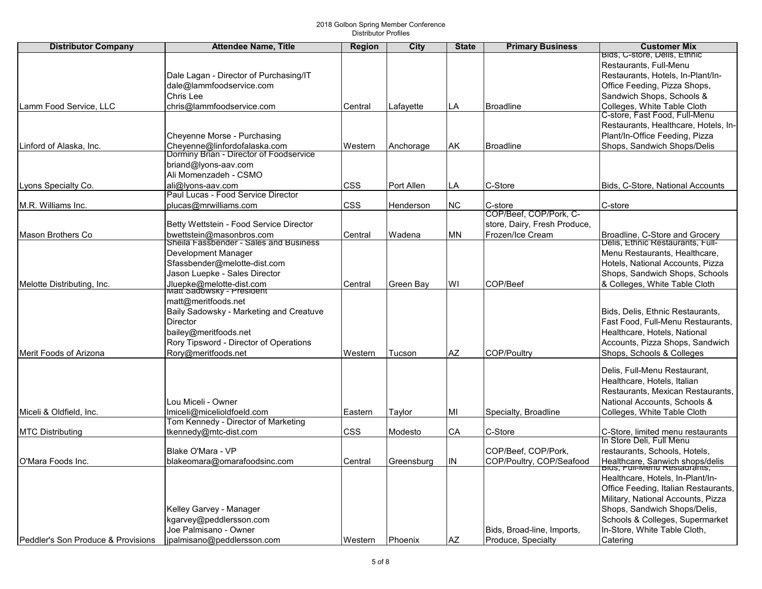| <b>Distributor Company</b>         | <b>Attendee Name, Title</b>                                        | <b>Region</b> | City       | <b>State</b> | <b>Primary Business</b>      | <b>Customer Mix</b>                                                |
|------------------------------------|--------------------------------------------------------------------|---------------|------------|--------------|------------------------------|--------------------------------------------------------------------|
|                                    |                                                                    |               |            |              |                              | Bids, C-store, Delis, Ethnic                                       |
|                                    |                                                                    |               |            |              |                              | Restaurants, Full-Menu                                             |
|                                    | Dale Lagan - Director of Purchasing/IT                             |               |            |              |                              | Restaurants, Hotels, In-Plant/In-                                  |
|                                    | dale@lammfoodservice.com                                           |               |            |              |                              | Office Feeding, Pizza Shops,                                       |
|                                    | Chris Lee                                                          |               |            |              |                              | Sandwich Shops, Schools &                                          |
| Lamm Food Service, LLC             | chris@lammfoodservice.com                                          | Central       | Lafayette  | LA           | Broadline                    | Colleges, White Table Cloth                                        |
|                                    |                                                                    |               |            |              |                              | C-store, Fast Food, Full-Menu                                      |
|                                    |                                                                    |               |            |              |                              | Restaurants, Healthcare, Hotels, In-                               |
|                                    | Cheyenne Morse - Purchasing                                        |               |            |              |                              | Plant/In-Office Feeding, Pizza                                     |
| Linford of Alaska, Inc.            | Cheyenne@linfordofalaska.com                                       | Western       | Anchorage  | AK           | <b>Broadline</b>             | Shops, Sandwich Shops/Delis                                        |
|                                    | Dorminy Brian - Director of Foodservice                            |               |            |              |                              |                                                                    |
|                                    | briand@lyons-aav.com                                               |               |            |              |                              |                                                                    |
|                                    | Ali Momenzadeh - CSMO                                              |               |            |              |                              |                                                                    |
| Lyons Specialty Co.                | ali@lyons-aav.com                                                  | <b>CSS</b>    | Port Allen | LA           | C-Store                      | Bids, C-Store, National Accounts                                   |
|                                    | Paul Lucas - Food Service Director                                 |               |            |              |                              |                                                                    |
| M.R. Williams Inc.                 | plucas@mrwilliams.com                                              | <b>CSS</b>    | Henderson  | <b>NC</b>    | C-store                      | C-store                                                            |
|                                    |                                                                    |               |            |              | COP/Beef, COP/Pork, C-       |                                                                    |
|                                    | Betty Wettstein - Food Service Director                            |               |            |              | store, Dairy, Fresh Produce, |                                                                    |
| Mason Brothers Co                  | bwettstein@masonbros.com<br>Sheila Fassbender - Sales and Business | Central       | Wadena     | <b>MN</b>    | Frozen/Ice Cream             | Broadline, C-Store and Grocery<br>Delis, Ethnic Restaurants, Full- |
|                                    |                                                                    |               |            |              |                              | Menu Restaurants, Healthcare,                                      |
|                                    | Development Manager<br>Sfassbender@melotte-dist.com                |               |            |              |                              | Hotels, National Accounts, Pizza                                   |
|                                    |                                                                    |               |            |              |                              |                                                                    |
|                                    | Jason Luepke - Sales Director                                      |               |            |              |                              | Shops, Sandwich Shops, Schools                                     |
| Melotte Distributing, Inc.         | Jluepke@melotte-dist.com<br>Matt Sadowsky - President              | Central       | Green Bay  | WI           | COP/Beef                     | & Colleges, White Table Cloth                                      |
|                                    | matt@meritfoods.net                                                |               |            |              |                              |                                                                    |
|                                    | Baily Sadowsky - Marketing and Creatuve                            |               |            |              |                              | Bids, Delis, Ethnic Restaurants,                                   |
|                                    | Director                                                           |               |            |              |                              | Fast Food, Full-Menu Restaurants,                                  |
|                                    | bailey@meritfoods.net                                              |               |            |              |                              | Healthcare, Hotels, National                                       |
|                                    | Rory Tipsword - Director of Operations                             |               |            |              |                              | Accounts, Pizza Shops, Sandwich                                    |
| Merit Foods of Arizona             | Rory@meritfoods.net                                                | Western       | Tucson     | AZ           | COP/Poultry                  | Shops, Schools & Colleges                                          |
|                                    |                                                                    |               |            |              |                              |                                                                    |
|                                    |                                                                    |               |            |              |                              | Delis, Full-Menu Restaurant,                                       |
|                                    |                                                                    |               |            |              |                              | Healthcare, Hotels, Italian                                        |
|                                    |                                                                    |               |            |              |                              | Restaurants, Mexican Restaurants,                                  |
|                                    | Lou Miceli - Owner                                                 |               |            |              |                              | National Accounts, Schools &                                       |
| Miceli & Oldfield, Inc.            | Imiceli@micelioldfoeld.com                                         | Eastern       | Taylor     | MI           | Specialty, Broadline         | Colleges, White Table Cloth                                        |
|                                    | Tom Kennedy - Director of Marketing                                |               |            |              |                              |                                                                    |
| <b>MTC Distributing</b>            | tkennedy@mtc-dist.com                                              | <b>CSS</b>    | Modesto    | CA           | C-Store                      | C-Store, limited menu restaurants                                  |
|                                    |                                                                    |               |            |              |                              | In Store Deli, Full Menu                                           |
|                                    | Blake O'Mara - VP                                                  |               |            |              | COP/Beef, COP/Pork,          | restaurants, Schools, Hotels,                                      |
| lO'Mara Foods Inc.                 | blakeomara@omarafoodsinc.com                                       | Central       | Greensburg | ΙN           | COP/Poultry, COP/Seafood     | Healthcare, Sanwich shops/delis                                    |
|                                    |                                                                    |               |            |              |                              | <b>Blas, Full-Menu Restaurants</b>                                 |
|                                    |                                                                    |               |            |              |                              | Healthcare, Hotels, In-Plant/In-                                   |
|                                    |                                                                    |               |            |              |                              | Office Feeding, Italian Restaurants,                               |
|                                    |                                                                    |               |            |              |                              | Military, National Accounts, Pizza                                 |
|                                    | Kelley Garvey - Manager                                            |               |            |              |                              | Shops, Sandwich Shops/Delis,                                       |
|                                    | kgarvey@peddlersson.com                                            |               |            |              |                              | Schools & Colleges, Supermarket                                    |
|                                    | Uoe Palmisano - Owner                                              |               |            |              | Bids, Broad-line, Imports,   | In-Store, White Table Cloth,                                       |
| Peddler's Son Produce & Provisions | jpalmisano@peddlersson.com                                         | Western       | Phoenix    | AZ           | Produce, Specialty           | Catering                                                           |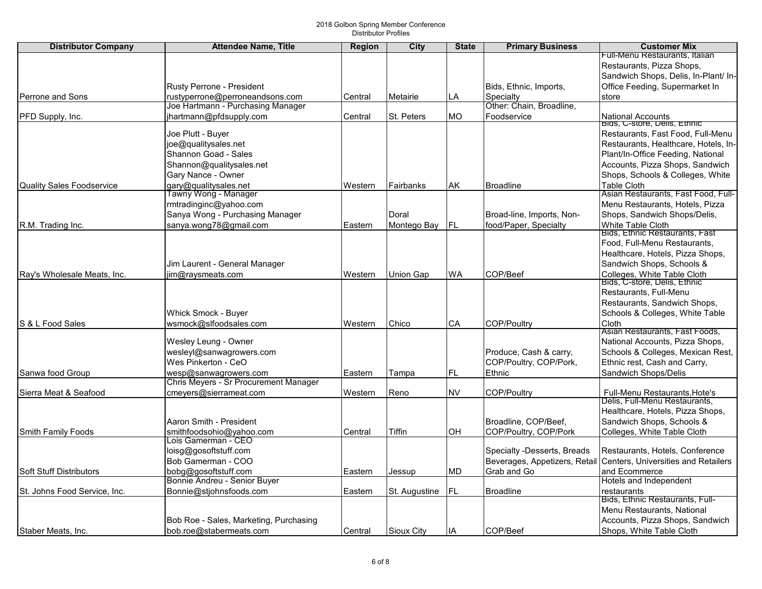| <b>Distributor Company</b>       | <b>Attendee Name, Title</b>                                           | <b>Region</b> | City          | <b>State</b> | <b>Primary Business</b>       | <b>Customer Mix</b>                                         |
|----------------------------------|-----------------------------------------------------------------------|---------------|---------------|--------------|-------------------------------|-------------------------------------------------------------|
|                                  |                                                                       |               |               |              |                               | Full-Menu Restaurants, Italian                              |
|                                  |                                                                       |               |               |              |                               | Restaurants, Pizza Shops,                                   |
|                                  |                                                                       |               |               |              |                               | Sandwich Shops, Delis, In-Plant/ In-                        |
|                                  | Rusty Perrone - President                                             |               |               |              | Bids, Ethnic, Imports,        | Office Feeding, Supermarket In                              |
| Perrone and Sons                 | rustyperrone@perroneandsons.com                                       | Central       | Metairie      | LA           | Specialty                     | store                                                       |
|                                  | Joe Hartmann - Purchasing Manager                                     |               |               |              | Other: Chain, Broadline,      |                                                             |
| PFD Supply, Inc.                 | jhartmann@pfdsupply.com                                               | Central       | St. Peters    | <b>MO</b>    | Foodservice                   | <b>National Accounts</b>                                    |
|                                  |                                                                       |               |               |              |                               | Bias, C-store, Dells, Ethnic                                |
|                                  | Joe Plutt - Buyer                                                     |               |               |              |                               | Restaurants, Fast Food, Full-Menu                           |
|                                  | joe@qualitysales.net                                                  |               |               |              |                               | Restaurants, Healthcare, Hotels, In-                        |
|                                  | Shannon Goad - Sales                                                  |               |               |              |                               | Plant/In-Office Feeding, National                           |
|                                  | Shannon@qualitysales.net                                              |               |               |              |                               | Accounts, Pizza Shops, Sandwich                             |
|                                  | Gary Nance - Owner                                                    |               |               |              |                               | Shops, Schools & Colleges, White                            |
| <b>Quality Sales Foodservice</b> | gary@qualitysales.net                                                 | Western       | Fairbanks     | AK           | <b>Broadline</b>              | <b>Table Cloth</b>                                          |
|                                  | Tawny Wong - Manager                                                  |               |               |              |                               | Asian Restaurants, Fast Food, Full-                         |
|                                  | rmtradinginc@yahoo.com                                                |               |               |              |                               | Menu Restaurants, Hotels, Pizza                             |
|                                  | Sanya Wong - Purchasing Manager                                       |               | Doral         |              | Broad-line, Imports, Non-     | Shops, Sandwich Shops/Delis,                                |
| R.M. Trading Inc.                | sanya.wong78@gmail.com                                                | Eastern       | Montego Bay   | IFL          | food/Paper, Specialty         | White Table Cloth                                           |
|                                  |                                                                       |               |               |              |                               | Bids, Ethnic Restaurants, Fast                              |
|                                  |                                                                       |               |               |              |                               | Food, Full-Menu Restaurants,                                |
|                                  |                                                                       |               |               |              |                               | Healthcare, Hotels, Pizza Shops,                            |
|                                  | Jim Laurent - General Manager                                         |               |               |              |                               | Sandwich Shops, Schools &                                   |
| Ray's Wholesale Meats, Inc.      | jim@raysmeats.com                                                     | Western       | Union Gap     | WA           | COP/Beef                      | Colleges, White Table Cloth<br>Bids, C-store, Delis, Ethnic |
|                                  |                                                                       |               |               |              |                               |                                                             |
|                                  |                                                                       |               |               |              |                               | Restaurants, Full-Menu                                      |
|                                  |                                                                       |               |               |              |                               | Restaurants, Sandwich Shops,                                |
|                                  | Whick Smock - Buyer                                                   |               |               |              |                               | Schools & Colleges, White Table                             |
| S & L Food Sales                 | wsmock@slfoodsales.com                                                | Western       | Chico         | CA           | <b>COP/Poultry</b>            | Cloth<br>Asian Restaurants, Fast Foods,                     |
|                                  | Wesley Leung - Owner                                                  |               |               |              |                               | National Accounts, Pizza Shops,                             |
|                                  | wesleyl@sanwagrowers.com                                              |               |               |              | Produce, Cash & carry,        | Schools & Colleges, Mexican Rest,                           |
|                                  | Wes Pinkerton - CeO                                                   |               |               |              | COP/Poultry, COP/Pork,        | Ethnic rest, Cash and Carry,                                |
| Sanwa food Group                 |                                                                       | Eastern       |               | FL.          | Ethnic                        | Sandwich Shops/Delis                                        |
|                                  | wesp@sanwagrowers.com<br><b>Chris Meyers - Sr Procurement Manager</b> |               | Tampa         |              |                               |                                                             |
| Sierra Meat & Seafood            | cmeyers@sierrameat.com                                                | Western       | Reno          | <b>NV</b>    | <b>COP/Poultry</b>            | Full-Menu Restaurants, Hote's                               |
|                                  |                                                                       |               |               |              |                               | Delis, Full-Menu Restaurants,                               |
|                                  |                                                                       |               |               |              |                               | Healthcare, Hotels, Pizza Shops,                            |
|                                  | Aaron Smith - President                                               |               |               |              | Broadline, COP/Beef,          | Sandwich Shops, Schools &                                   |
| Smith Family Foods               | smithfoodsohio@yahoo.com                                              | Central       | Tiffin        | OH           | COP/Poultry, COP/Pork         | Colleges, White Table Cloth                                 |
|                                  | Lois Gamerman - CEO                                                   |               |               |              |                               |                                                             |
|                                  | loisg@gosoftstuff.com                                                 |               |               |              | Specialty -Desserts, Breads   | Restaurants, Hotels, Conference                             |
|                                  | Bob Gamerman - COO                                                    |               |               |              | Beverages, Appetizers, Retail | <b>Centers. Universities and Retailers</b>                  |
| <b>Soft Stuff Distributors</b>   | bobg@gosoftstuff.com                                                  | Eastern       | Jessup        | MD           | Grab and Go                   | and Ecommerce                                               |
|                                  | Bonnie Andreu - Senior Buyer                                          |               |               |              |                               | Hotels and Independent                                      |
| St. Johns Food Service, Inc.     | Bonnie@stjohnsfoods.com                                               | Eastern       | St. Augustine | FL           | <b>Broadline</b>              | restaurants                                                 |
|                                  |                                                                       |               |               |              |                               | Bids, Ethnic Restaurants, Full-                             |
|                                  |                                                                       |               |               |              |                               | Menu Restaurants, National                                  |
|                                  | Bob Roe - Sales, Marketing, Purchasing                                |               |               |              |                               | Accounts, Pizza Shops, Sandwich                             |
| Staber Meats, Inc.               | bob.roe@stabermeats.com                                               | Central       | Sioux City    | IA           | COP/Beef                      | Shops, White Table Cloth                                    |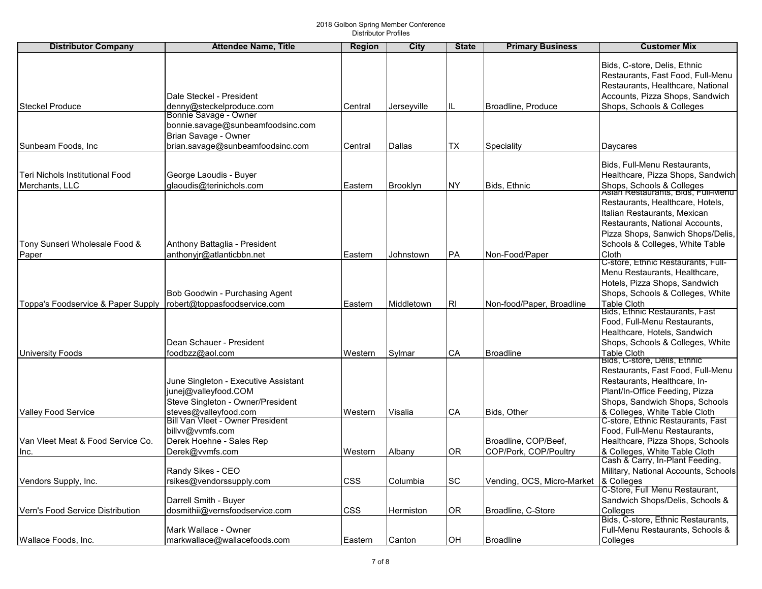| <b>Distributor Company</b>         | <b>Attendee Name, Title</b>                               | <b>Region</b> | City            | <b>State</b> | <b>Primary Business</b>    | <b>Customer Mix</b>                                             |
|------------------------------------|-----------------------------------------------------------|---------------|-----------------|--------------|----------------------------|-----------------------------------------------------------------|
|                                    |                                                           |               |                 |              |                            |                                                                 |
|                                    |                                                           |               |                 |              |                            | Bids, C-store, Delis, Ethnic                                    |
|                                    |                                                           |               |                 |              |                            | Restaurants, Fast Food, Full-Menu                               |
|                                    |                                                           |               |                 |              |                            | Restaurants, Healthcare, National                               |
|                                    | Dale Steckel - President                                  |               |                 |              |                            | Accounts, Pizza Shops, Sandwich                                 |
| Steckel Produce                    | denny@steckelproduce.com<br>Bonnie Savage - Owner         | Central       | Jerseyville     |              | Broadline, Produce         | Shops, Schools & Colleges                                       |
|                                    | bonnie.savage@sunbeamfoodsinc.com                         |               |                 |              |                            |                                                                 |
|                                    | Brian Savage - Owner                                      |               |                 |              |                            |                                                                 |
| Sunbeam Foods, Inc                 | brian.savage@sunbeamfoodsinc.com                          | Central       | Dallas          | TX           | Speciality                 | Daycares                                                        |
|                                    |                                                           |               |                 |              |                            |                                                                 |
|                                    |                                                           |               |                 |              |                            | Bids, Full-Menu Restaurants,                                    |
| Teri Nichols Institutional Food    | George Laoudis - Buyer                                    |               |                 |              |                            | Healthcare, Pizza Shops, Sandwich                               |
| Merchants, LLC                     | glaoudis@terinichols.com                                  | Eastern       | <b>Brooklyn</b> | <b>NY</b>    | Bids, Ethnic               | Shops, Schools & Colleges<br>Asian Restaurants, Bigs, Full-Menu |
|                                    |                                                           |               |                 |              |                            |                                                                 |
|                                    |                                                           |               |                 |              |                            | Restaurants, Healthcare, Hotels,                                |
|                                    |                                                           |               |                 |              |                            | Italian Restaurants, Mexican                                    |
|                                    |                                                           |               |                 |              |                            | Restaurants, National Accounts,                                 |
|                                    |                                                           |               |                 |              |                            | Pizza Shops, Sanwich Shops/Delis,                               |
| Tony Sunseri Wholesale Food &      | Anthony Battaglia - President                             |               |                 |              |                            | Schools & Colleges, White Table                                 |
| Paper                              | anthonyjr@atlanticbbn.net                                 | Eastern       | Johnstown       | PA           | Non-Food/Paper             | Cloth<br>C-store, Ethnic Restaurants, Full-                     |
|                                    |                                                           |               |                 |              |                            | Menu Restaurants, Healthcare,                                   |
|                                    |                                                           |               |                 |              |                            | Hotels, Pizza Shops, Sandwich                                   |
|                                    | Bob Goodwin - Purchasing Agent                            |               |                 |              |                            | Shops, Schools & Colleges, White                                |
| Toppa's Foodservice & Paper Supply | robert@toppasfoodservice.com                              | Eastern       | Middletown      | <b>RI</b>    | Non-food/Paper, Broadline  | <b>Table Cloth</b>                                              |
|                                    |                                                           |               |                 |              |                            | Bids, Ethnic Restaurants, Fast                                  |
|                                    |                                                           |               |                 |              |                            | Food, Full-Menu Restaurants,                                    |
|                                    |                                                           |               |                 |              |                            | Healthcare, Hotels, Sandwich                                    |
|                                    | Dean Schauer - President                                  |               |                 |              |                            | Shops, Schools & Colleges, White                                |
| <b>University Foods</b>            | foodbzz@aol.com                                           | Western       | Sylmar          | CA           | <b>Broadline</b>           | <b>Table Cloth</b>                                              |
|                                    |                                                           |               |                 |              |                            | Bids, C-store, Delis, Ethnic                                    |
|                                    |                                                           |               |                 |              |                            | Restaurants, Fast Food, Full-Menu                               |
|                                    | June Singleton - Executive Assistant                      |               |                 |              |                            | Restaurants, Healthcare, In-                                    |
|                                    | junej@valleyfood.COM<br>Steve Singleton - Owner/President |               |                 |              |                            | Plant/In-Office Feeding, Pizza                                  |
|                                    |                                                           |               |                 | CA           |                            | Shops, Sandwich Shops, Schools<br>& Colleges, White Table Cloth |
| <b>Valley Food Service</b>         | steves@valleyfood.com<br>Bill Van Vleet - Owner President | Western       | Visalia         |              | Bids, Other                | C-store, Ethnic Restaurants, Fast                               |
|                                    | billvv@vvmfs.com                                          |               |                 |              |                            | Food, Full-Menu Restaurants,                                    |
| Van Vleet Meat & Food Service Co.  | Derek Hoehne - Sales Rep                                  |               |                 |              | Broadline, COP/Beef,       | Healthcare, Pizza Shops, Schools                                |
| Inc.                               | Derek@vvmfs.com                                           | Western       | Albany          | 0R           | COP/Pork, COP/Poultry      | & Colleges, White Table Cloth                                   |
|                                    |                                                           |               |                 |              |                            | Cash & Carry, In-Plant Feeding,                                 |
|                                    | Randy Sikes - CEO                                         |               |                 |              |                            | Military, National Accounts, Schools                            |
| Vendors Supply, Inc.               | rsikes@vendorssupply.com                                  | CSS           | Columbia        | SC           | Vending, OCS, Micro-Market | & Colleges                                                      |
|                                    |                                                           |               |                 |              |                            | C-Store, Full Menu Restaurant,                                  |
|                                    | Darrell Smith - Buyer                                     |               |                 |              |                            | Sandwich Shops/Delis, Schools &                                 |
| Vern's Food Service Distribution   | dosmithii@vernsfoodservice.com                            | <b>CSS</b>    | Hermiston       | <b>OR</b>    | Broadline, C-Store         | Colleges                                                        |
|                                    |                                                           |               |                 |              |                            | Bids, C-store, Ethnic Restaurants,                              |
|                                    | Mark Wallace - Owner                                      |               |                 |              |                            | Full-Menu Restaurants, Schools &                                |
| Wallace Foods, Inc.                | markwallace@wallacefoods.com                              | Eastern       | Canton          | OH           | <b>Broadline</b>           | Colleges                                                        |